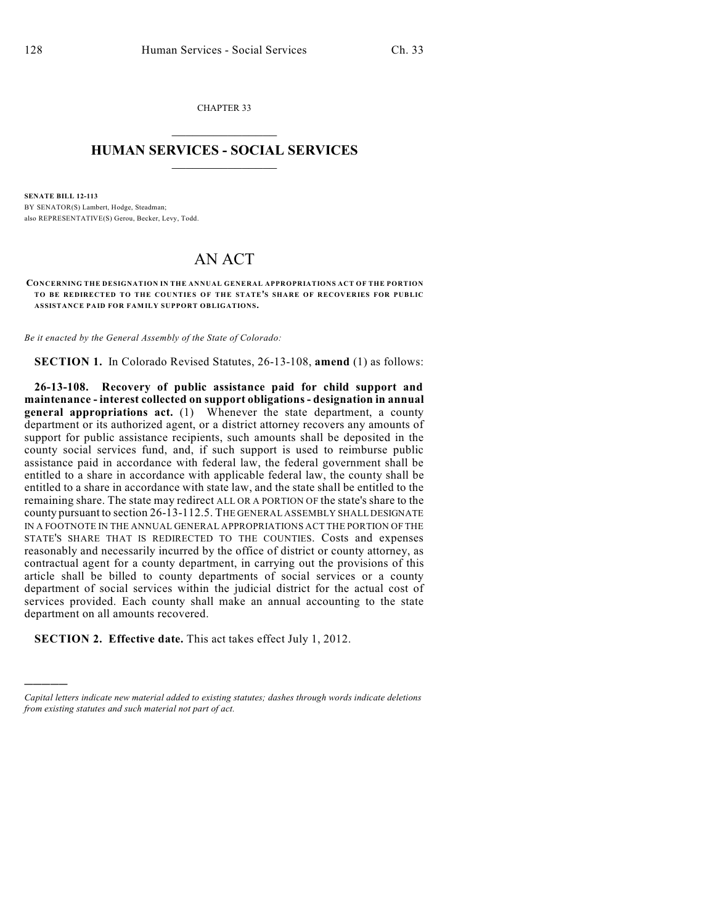)))))

CHAPTER 33  $\overline{\phantom{a}}$  . The set of the set of the set of the set of the set of the set of the set of the set of the set of the set of the set of the set of the set of the set of the set of the set of the set of the set of the set o

## **HUMAN SERVICES - SOCIAL SERVICES**  $\frac{1}{2}$  ,  $\frac{1}{2}$  ,  $\frac{1}{2}$  ,  $\frac{1}{2}$  ,  $\frac{1}{2}$  ,  $\frac{1}{2}$  ,  $\frac{1}{2}$

**SENATE BILL 12-113** BY SENATOR(S) Lambert, Hodge, Steadman; also REPRESENTATIVE(S) Gerou, Becker, Levy, Todd.

## AN ACT

**CONCERNING THE DESIGNATION IN THE ANNUAL GENERAL APPROPRIATIONS ACT OF THE PORTION TO BE REDIRECTED TO THE COUNTIES OF THE STATE'S SHARE OF RECOVERIES FOR PUBLIC ASSISTANCE PAID FOR FAMILY SUPPORT OBLIGATIONS.**

*Be it enacted by the General Assembly of the State of Colorado:*

**SECTION 1.** In Colorado Revised Statutes, 26-13-108, **amend** (1) as follows:

**26-13-108. Recovery of public assistance paid for child support and maintenance - interest collected on support obligations - designation in annual general appropriations act.** (1) Whenever the state department, a county department or its authorized agent, or a district attorney recovers any amounts of support for public assistance recipients, such amounts shall be deposited in the county social services fund, and, if such support is used to reimburse public assistance paid in accordance with federal law, the federal government shall be entitled to a share in accordance with applicable federal law, the county shall be entitled to a share in accordance with state law, and the state shall be entitled to the remaining share. The state may redirect ALL OR A PORTION OF the state's share to the county pursuant to section 26-13-112.5. THE GENERAL ASSEMBLY SHALL DESIGNATE IN A FOOTNOTE IN THE ANNUAL GENERAL APPROPRIATIONS ACT THE PORTION OF THE STATE'S SHARE THAT IS REDIRECTED TO THE COUNTIES. Costs and expenses reasonably and necessarily incurred by the office of district or county attorney, as contractual agent for a county department, in carrying out the provisions of this article shall be billed to county departments of social services or a county department of social services within the judicial district for the actual cost of services provided. Each county shall make an annual accounting to the state department on all amounts recovered.

**SECTION 2. Effective date.** This act takes effect July 1, 2012.

*Capital letters indicate new material added to existing statutes; dashes through words indicate deletions from existing statutes and such material not part of act.*